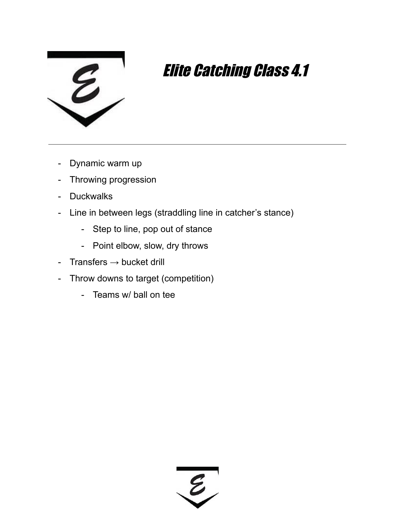

- Dynamic warm up
- Throwing progression
- Duckwalks
- Line in between legs (straddling line in catcher's stance)
	- Step to line, pop out of stance
	- Point elbow, slow, dry throws
- Transfers  $\rightarrow$  bucket drill
- Throw downs to target (competition)
	- Teams w/ ball on tee

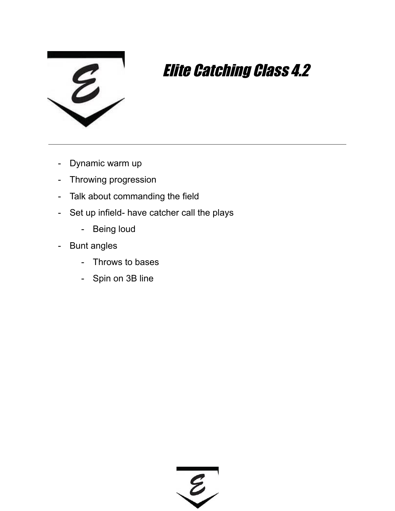

- Dynamic warm up
- Throwing progression
- Talk about commanding the field
- Set up infield- have catcher call the plays
	- Being loud
- Bunt angles
	- Throws to bases
	- Spin on 3B line

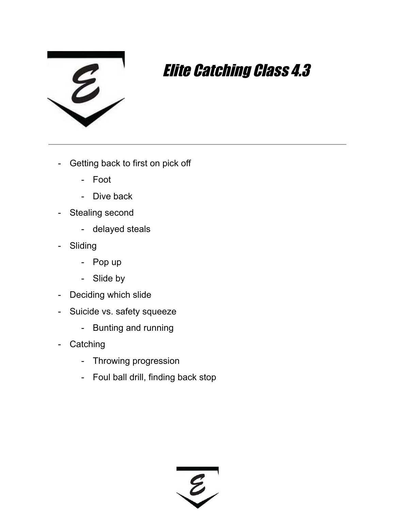

- Getting back to first on pick off
	- Foot
	- Dive back
- Stealing second
	- delayed steals
- Sliding
	- Pop up
	- Slide by
- Deciding which slide
- Suicide vs. safety squeeze
	- Bunting and running
- Catching
	- Throwing progression
	- Foul ball drill, finding back stop